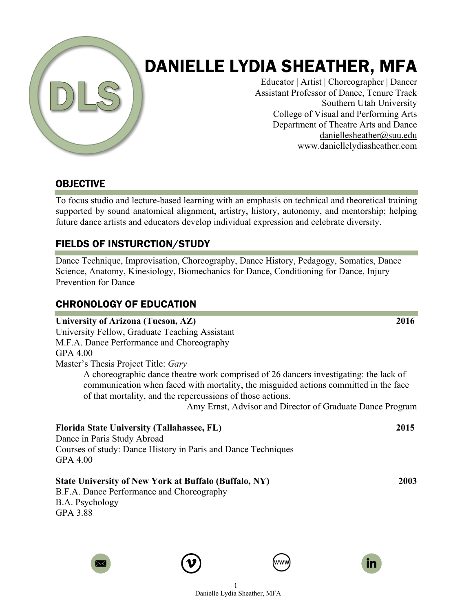

# DANIELLE LYDIA SHEATHER, MFA

Educator | Artist | Choreographer | Dancer Assistant Professor of Dance, Tenure Track Southern Utah University College of Visual and Performing Arts Department of Theatre Arts and Dance daniellesheather@suu.edu www.daniellelydiasheather.com

# OBJECTIVE

To focus studio and lecture-based learning with an emphasis on technical and theoretical training supported by sound anatomical alignment, artistry, history, autonomy, and mentorship; helping future dance artists and educators develop individual expression and celebrate diversity.

# FIELDS OF INSTURCTION/STUDY

Dance Technique, Improvisation, Choreography, Dance History, Pedagogy, Somatics, Dance Science, Anatomy, Kinesiology, Biomechanics for Dance, Conditioning for Dance, Injury Prevention for Dance

# CHRONOLOGY OF EDUCATION

#### **University of Arizona (Tucson, AZ) 2016**

University Fellow, Graduate Teaching Assistant M.F.A. Dance Performance and Choreography GPA 4.00 Master's Thesis Project Title: *Gary*

A choreographic dance theatre work comprised of 26 dancers investigating: the lack of communication when faced with mortality, the misguided actions committed in the face of that mortality, and the repercussions of those actions.

Amy Ernst, Advisor and Director of Graduate Dance Program

### **Florida State University (Tallahassee, FL) 2015**

Dance in Paris Study Abroad Courses of study: Dance History in Paris and Dance Techniques GPA 4.00

### **State University of New York at Buffalo (Buffalo, NY) 2003**

B.F.A. Dance Performance and Choreography B.A. Psychology GPA 3.88









1 Danielle Lydia Sheather, MFA

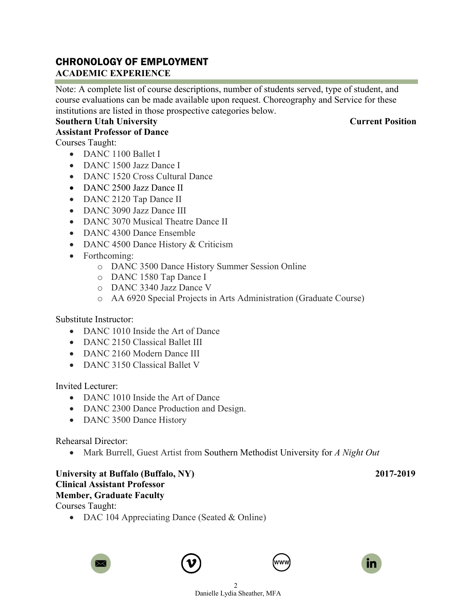# CHRONOLOGY OF EMPLOYMENT

#### **ACADEMIC EXPERIENCE**

Note: A complete list of course descriptions, number of students served, type of student, and course evaluations can be made available upon request. Choreography and Service for these institutions are listed in those prospective categories below.

### **Southern Utah University Current Position**

#### **Assistant Professor of Dance**

Courses Taught:

- DANC 1100 Ballet I
- DANC 1500 Jazz Dance I
- DANC 1520 Cross Cultural Dance
- DANC 2500 Jazz Dance II
- DANC 2120 Tap Dance II
- DANC 3090 Jazz Dance III
- DANC 3070 Musical Theatre Dance II
- DANC 4300 Dance Ensemble
- DANC 4500 Dance History & Criticism
- Forthcoming:
	- o DANC 3500 Dance History Summer Session Online
	- o DANC 1580 Tap Dance I
	- o DANC 3340 Jazz Dance V
	- o AA 6920 Special Projects in Arts Administration (Graduate Course)

Substitute Instructor:

- DANC 1010 Inside the Art of Dance
- DANC 2150 Classical Ballet III
- DANC 2160 Modern Dance III
- DANC 3150 Classical Ballet V

Invited Lecturer:

- DANC 1010 Inside the Art of Dance
- DANC 2300 Dance Production and Design.
- DANC 3500 Dance History

Rehearsal Director:

• Mark Burrell, Guest Artist from Southern Methodist University for *A Night Out*

#### **University at Buffalo (Buffalo, NY) 2017-2019 Clinical Assistant Professor Member, Graduate Faculty** Courses Taught:

• DAC 104 Appreciating Dance (Seated & Online)







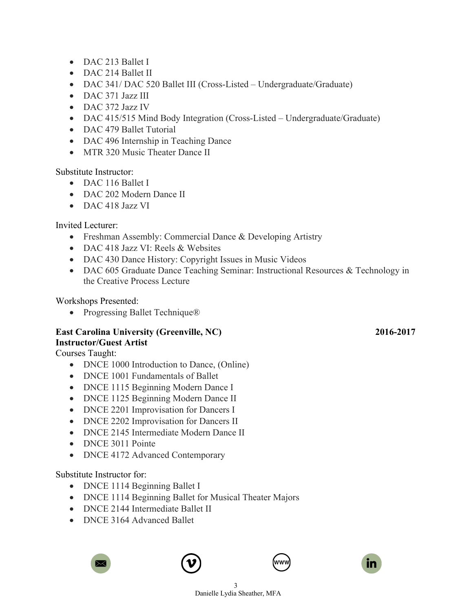- DAC 213 Ballet I
- DAC 214 Ballet II
- DAC 341/DAC 520 Ballet III (Cross-Listed Undergraduate/Graduate)
- DAC 371 Jazz III
- DAC 372 Jazz IV
- DAC 415/515 Mind Body Integration (Cross-Listed Undergraduate/Graduate)
- DAC 479 Ballet Tutorial
- DAC 496 Internship in Teaching Dance
- MTR 320 Music Theater Dance II

Substitute Instructor:

- DAC 116 Ballet I
- DAC 202 Modern Dance II
- DAC 418 Jazz VI

Invited Lecturer:

- Freshman Assembly: Commercial Dance & Developing Artistry
- DAC 418 Jazz VI: Reels & Websites
- DAC 430 Dance History: Copyright Issues in Music Videos
- DAC 605 Graduate Dance Teaching Seminar: Instructional Resources & Technology in the Creative Process Lecture

Workshops Presented:

• Progressing Ballet Technique®

#### **East Carolina University (Greenville, NC) 2016-2017 Instructor/Guest Artist**

Courses Taught:

- DNCE 1000 Introduction to Dance, (Online)
- DNCE 1001 Fundamentals of Ballet
- DNCE 1115 Beginning Modern Dance I
- DNCE 1125 Beginning Modern Dance II
- DNCE 2201 Improvisation for Dancers I
- DNCE 2202 Improvisation for Dancers II
- DNCE 2145 Intermediate Modern Dance II
- DNCE 3011 Pointe
- DNCE 4172 Advanced Contemporary

#### Substitute Instructor for:

- DNCE 1114 Beginning Ballet I
- DNCE 1114 Beginning Ballet for Musical Theater Majors
- DNCE 2144 Intermediate Ballet II
- DNCE 3164 Advanced Ballet







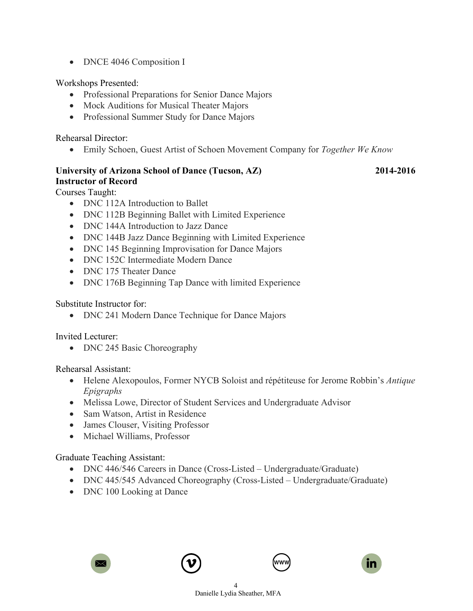• DNCE 4046 Composition I

Workshops Presented:

- Professional Preparations for Senior Dance Majors
- Mock Auditions for Musical Theater Majors
- Professional Summer Study for Dance Majors

Rehearsal Director:

• Emily Schoen, Guest Artist of Schoen Movement Company for *Together We Know*

### **University of Arizona School of Dance (Tucson, AZ) 2014-2016 Instructor of Record**

Courses Taught:

- DNC 112A Introduction to Ballet
- DNC 112B Beginning Ballet with Limited Experience
- DNC 144A Introduction to Jazz Dance
- DNC 144B Jazz Dance Beginning with Limited Experience
- DNC 145 Beginning Improvisation for Dance Majors
- DNC 152C Intermediate Modern Dance
- DNC 175 Theater Dance
- DNC 176B Beginning Tap Dance with limited Experience

Substitute Instructor for:

• DNC 241 Modern Dance Technique for Dance Majors

Invited Lecturer:

• DNC 245 Basic Choreography

Rehearsal Assistant:

- Helene Alexopoulos, Former NYCB Soloist and répétiteuse for Jerome Robbin's *Antique Epigraphs*
- Melissa Lowe, Director of Student Services and Undergraduate Advisor
- Sam Watson, Artist in Residence
- James Clouser, Visiting Professor
- Michael Williams, Professor

#### Graduate Teaching Assistant:

- DNC 446/546 Careers in Dance (Cross-Listed Undergraduate/Graduate)
- DNC 445/545 Advanced Choreography (Cross-Listed Undergraduate/Graduate)
- DNC 100 Looking at Dance







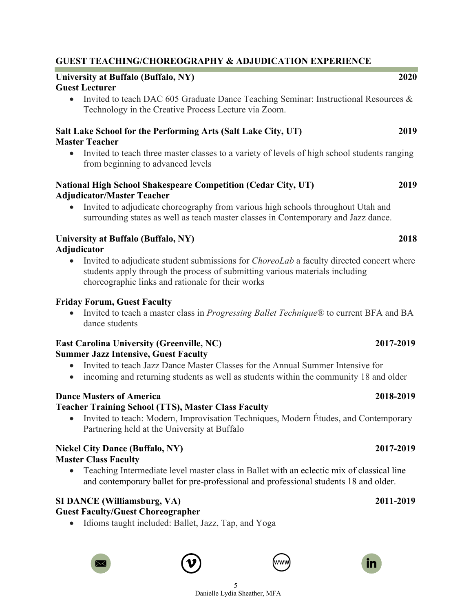#### **National High School Shakespeare Competition (Cedar City, UT) 2019 Adjudicator/Master Teacher**

• Invited to adjudicate choreography from various high schools throughout Utah and surrounding states as well as teach master classes in Contemporary and Jazz dance.

#### **University at Buffalo (Buffalo, NY) 2018 Adjudicator**

from beginning to advanced levels

**Guest Lecturer**

**Master Teacher**

• Invited to adjudicate student submissions for *ChoreoLab* a faculty directed concert where students apply through the process of submitting various materials including choreographic links and rationale for their works

### **Friday Forum, Guest Faculty**

• Invited to teach a master class in *Progressing Ballet Technique*® to current BFA and BA dance students

#### **East Carolina University (Greenville, NC) 2017-2019 Summer Jazz Intensive, Guest Faculty**

- Invited to teach Jazz Dance Master Classes for the Annual Summer Intensive for
- incoming and returning students as well as students within the community 18 and older

# **Dance Masters of America 2018-2019**

# **Teacher Training School (TTS), Master Class Faculty**

• Invited to teach: Modern, Improvisation Techniques, Modern Études, and Contemporary Partnering held at the University at Buffalo

### **Nickel City Dance (Buffalo, NY) 2017-2019 Master Class Faculty**

• Teaching Intermediate level master class in Ballet with an eclectic mix of classical line and contemporary ballet for pre-professional and professional students 18 and older.

> 5 Danielle Lydia Sheather, MFA

# **SI DANCE (Williamsburg, VA) 2011-2019**

# **Guest Faculty/Guest Choreographer**

• Idioms taught included: Ballet, Jazz, Tap, and Yoga









# **GUEST TEACHING/CHOREOGRAPHY & ADJUDICATION EXPERIENCE**

Technology in the Creative Process Lecture via Zoom.

**University at Buffalo (Buffalo, NY) 2020**

**Salt Lake School for the Performing Arts (Salt Lake City, UT) 2019**

# • Invited to teach DAC 605 Graduate Dance Teaching Seminar: Instructional Resources &

• Invited to teach three master classes to a variety of levels of high school students ranging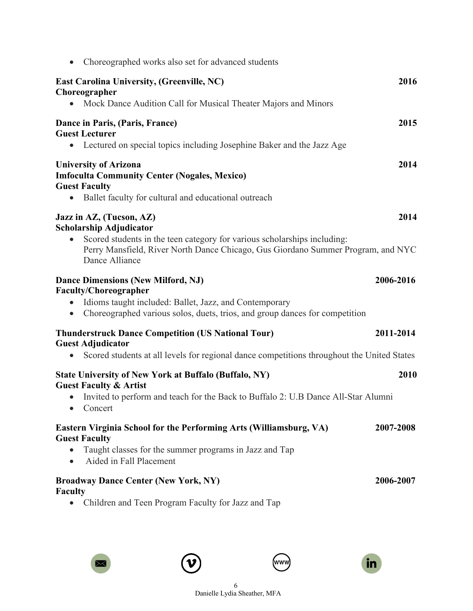| Choreographed works also set for advanced students                                                                                                                                                                                                        |           |
|-----------------------------------------------------------------------------------------------------------------------------------------------------------------------------------------------------------------------------------------------------------|-----------|
| <b>East Carolina University, (Greenville, NC)</b><br>Choreographer<br>Mock Dance Audition Call for Musical Theater Majors and Minors<br>$\bullet$                                                                                                         | 2016      |
| Dance in Paris, (Paris, France)<br><b>Guest Lecturer</b><br>• Lectured on special topics including Josephine Baker and the Jazz Age                                                                                                                       | 2015      |
| <b>University of Arizona</b><br><b>Imfoculta Community Center (Nogales, Mexico)</b><br><b>Guest Faculty</b><br>Ballet faculty for cultural and educational outreach<br>$\bullet$                                                                          | 2014      |
| Jazz in AZ, (Tucson, AZ)<br><b>Scholarship Adjudicator</b><br>Scored students in the teen category for various scholarships including:<br>$\bullet$<br>Perry Mansfield, River North Dance Chicago, Gus Giordano Summer Program, and NYC<br>Dance Alliance | 2014      |
| <b>Dance Dimensions (New Milford, NJ)</b><br><b>Faculty/Choreographer</b><br>Idioms taught included: Ballet, Jazz, and Contemporary<br>Choreographed various solos, duets, trios, and group dances for competition                                        | 2006-2016 |
| <b>Thunderstruck Dance Competition (US National Tour)</b><br><b>Guest Adjudicator</b><br>Scored students at all levels for regional dance competitions throughout the United States<br>$\bullet$                                                          | 2011-2014 |
| <b>State University of New York at Buffalo (Buffalo, NY)</b><br><b>Guest Faculty &amp; Artist</b><br>Invited to perform and teach for the Back to Buffalo 2: U.B Dance All-Star Alumni<br>$\bullet$<br>Concert<br>$\bullet$                               | 2010      |
| Eastern Virginia School for the Performing Arts (Williamsburg, VA)<br><b>Guest Faculty</b><br>Taught classes for the summer programs in Jazz and Tap<br>$\bullet$<br>Aided in Fall Placement                                                              | 2007-2008 |
| <b>Broadway Dance Center (New York, NY)</b><br><b>Faculty</b><br>Children and Teen Program Faculty for Jazz and Tap                                                                                                                                       | 2006-2007 |







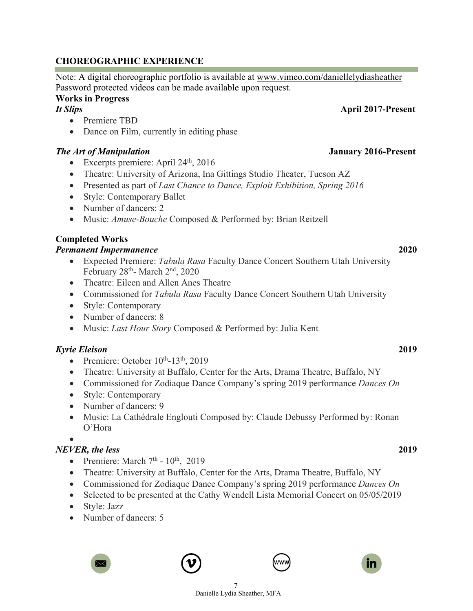#### **CHOREOGRAPHIC EXPERIENCE**

Note: A digital choreographic portfolio is available at www.vimeo.com/daniellelydiasheather Password protected videos can be made available upon request.

#### **Works in Progress**

*It Slips* **April 2017-Present**

- Premiere TBD
- Dance on Film, currently in editing phase

#### *The Art of Manipulation* **January 2016-Present**

- Excerpts premiere: April  $24<sup>th</sup>$ ,  $2016$
- Theatre: University of Arizona, Ina Gittings Studio Theater, Tucson AZ
- Presented as part of *Last Chance to Dance, Exploit Exhibition, Spring 2016*
- Style: Contemporary Ballet
- Number of dancers: 2
- Music: *Amuse-Bouche* Composed & Performed by: Brian Reitzell

#### **Completed Works**

#### *Permanent Impermanence* **2020**

- Expected Premiere: *Tabula Rasa* Faculty Dance Concert Southern Utah University February 28<sup>th</sup>- March 2<sup>nd</sup>, 2020
- Theatre: Eileen and Allen Anes Theatre
- Commissioned for *Tabula Rasa* Faculty Dance Concert Southern Utah University
- Style: Contemporary
- Number of dancers: 8
- Music: *Last Hour Story* Composed & Performed by: Julia Kent

#### *Kyrie Eleison* **2019**

- Premiere: October  $10^{th}$ -13<sup>th</sup>, 2019
- Theatre: University at Buffalo, Center for the Arts, Drama Theatre, Buffalo, NY
- Commissioned for Zodiaque Dance Company's spring 2019 performance *Dances On*
- Style: Contemporary
- Number of dancers: 9
- Music: La Cathédrale Englouti Composed by: Claude Debussy Performed by: Ronan O'Hora

•

### *NEVER, the less* **2019**

- Premiere: March  $7<sup>th</sup>$   $10<sup>th</sup>$ , 2019
- Theatre: University at Buffalo, Center for the Arts, Drama Theatre, Buffalo, NY
- Commissioned for Zodiaque Dance Company's spring 2019 performance *Dances On*
- Selected to be presented at the Cathy Wendell Lista Memorial Concert on 05/05/2019
- Style: Jazz
- Number of dancers: 5







7 Danielle Lydia Sheather, MFA



in.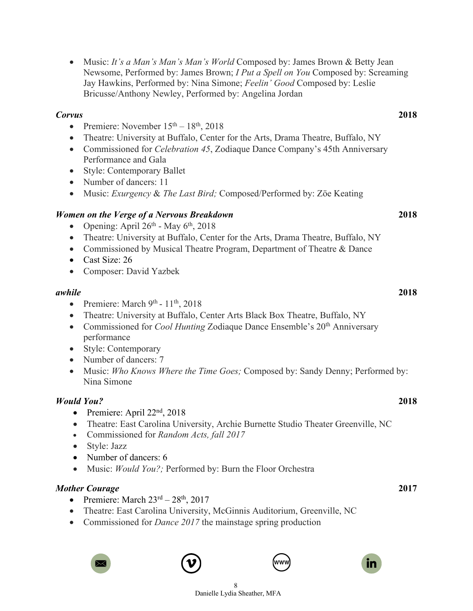|                                                  | Music: It's a Man's Man's Man's World Composed by: James Brown & Betty Jean<br>Newsome, Performed by: James Brown; I Put a Spell on You Composed by: Screaming<br>Jay Hawkins, Performed by: Nina Simone; Feelin' Good Composed by: Leslie<br>Bricusse/Anthony Newley, Performed by: Angelina Jordan |      |
|--------------------------------------------------|------------------------------------------------------------------------------------------------------------------------------------------------------------------------------------------------------------------------------------------------------------------------------------------------------|------|
| <b>Corvus</b>                                    |                                                                                                                                                                                                                                                                                                      | 2018 |
| $\bullet$                                        | Premiere: November $15th - 18th$ , 2018                                                                                                                                                                                                                                                              |      |
| $\bullet$<br>$\bullet$                           | Theatre: University at Buffalo, Center for the Arts, Drama Theatre, Buffalo, NY<br>Commissioned for <i>Celebration 45</i> , Zodiaque Dance Company's 45th Anniversary<br>Performance and Gala                                                                                                        |      |
| $\bullet$                                        | <b>Style: Contemporary Ballet</b>                                                                                                                                                                                                                                                                    |      |
| $\bullet$                                        | Number of dancers: 11                                                                                                                                                                                                                                                                                |      |
| $\bullet$                                        | Music: Exurgency & The Last Bird; Composed/Performed by: Zöe Keating                                                                                                                                                                                                                                 |      |
|                                                  | Women on the Verge of a Nervous Breakdown<br>Opening: April 26th - May 6th, 2018                                                                                                                                                                                                                     | 2018 |
| $\bullet$<br>$\bullet$<br>$\bullet$              | Theatre: University at Buffalo, Center for the Arts, Drama Theatre, Buffalo, NY<br>Commissioned by Musical Theatre Program, Department of Theatre & Dance<br>Cast Size: 26                                                                                                                           |      |
| $\bullet$                                        | Composer: David Yazbek                                                                                                                                                                                                                                                                               |      |
| awhile                                           |                                                                                                                                                                                                                                                                                                      | 2018 |
| $\bullet$<br>$\bullet$<br>$\bullet$<br>$\bullet$ | Premiere: March 9th - 11th, 2018<br>Theatre: University at Buffalo, Center Arts Black Box Theatre, Buffalo, NY<br>Commissioned for <i>Cool Hunting</i> Zodiaque Dance Ensemble's 20 <sup>th</sup> Anniversary<br>performance<br>Style: Contemporary                                                  |      |
| $\bullet$<br>$\bullet$                           | Number of dancers: 7<br>Music: Who Knows Where the Time Goes; Composed by: Sandy Denny; Performed by:<br>Nina Simone                                                                                                                                                                                 |      |
|                                                  | <b>Would You?</b>                                                                                                                                                                                                                                                                                    | 2018 |
| $\bullet$<br>$\bullet$<br>$\bullet$              | Premiere: April 22 <sup>nd</sup> , 2018<br>Theatre: East Carolina University, Archie Burnette Studio Theater Greenville, NC<br>Commissioned for Random Acts, fall 2017<br>Style: Jazz<br>Number of dancers: 6<br>Music: Would You?; Performed by: Burn the Floor Orchestra                           |      |
|                                                  | <b>Mother Courage</b>                                                                                                                                                                                                                                                                                | 2017 |
| $\bullet$                                        | Premiere: March 23rd - 28th, 2017<br>Theatre: East Carolina University, McGinnis Auditorium, Greenville, NC<br>Commissioned for <i>Dance 2017</i> the mainstage spring production                                                                                                                    |      |
|                                                  | in<br>wwv<br>$\Join$                                                                                                                                                                                                                                                                                 |      |

Danielle Lydia Sheather, MFA

8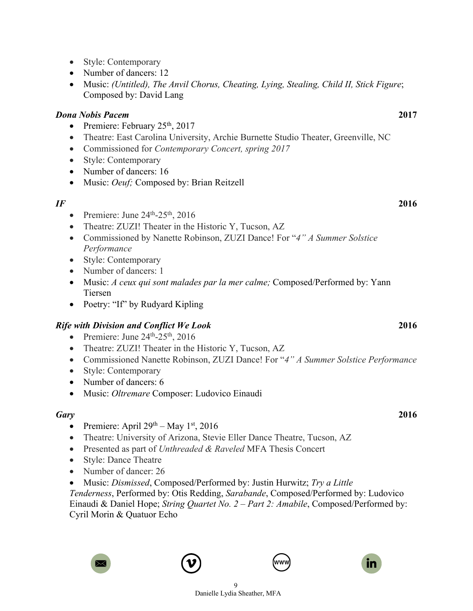- Style: Contemporary
- Number of dancers: 12
- Music: *(Untitled), The Anvil Chorus, Cheating, Lying, Stealing, Child II, Stick Figure*; Composed by: David Lang

### *Dona Nobis Pacem* **2017**

- Premiere: February  $25<sup>th</sup>$ , 2017
- Theatre: East Carolina University, Archie Burnette Studio Theater, Greenville, NC
- Commissioned for *Contemporary Concert, spring 2017*
- Style: Contemporary
- Number of dancers: 16
- Music: *Oeuf*; Composed by: Brian Reitzell

### *IF* **2016**

- Premiere: June  $24<sup>th</sup> 25<sup>th</sup>$ , 2016
- Theatre: ZUZI! Theater in the Historic Y, Tucson, AZ
- Commissioned by Nanette Robinson, ZUZI Dance! For "*4" A Summer Solstice Performance*
- Style: Contemporary
- Number of dancers: 1
- Music: *A ceux qui sont malades par la mer calme;* Composed/Performed by: Yann Tiersen
- Poetry: "If" by Rudyard Kipling

# *Rife with Division and Conflict We Look* **2016**

- Premiere: June  $24<sup>th</sup>$ -25<sup>th</sup>, 2016
- Theatre: ZUZI! Theater in the Historic Y, Tucson, AZ
- Commissioned Nanette Robinson, ZUZI Dance! For "*4" A Summer Solstice Performance*
- Style: Contemporary
- Number of dancers: 6
- Music: *Oltremare* Composer: Ludovico Einaudi

### *Gary* **2016**

- Premiere: April  $29<sup>th</sup> May 1<sup>st</sup>$ , 2016
- Theatre: University of Arizona, Stevie Eller Dance Theatre, Tucson, AZ
- Presented as part of *Unthreaded & Raveled* MFA Thesis Concert
- Style: Dance Theatre
- Number of dancer: 26
- Music: *Dismissed*, Composed/Performed by: Justin Hurwitz; *Try a Little*

*Tenderness*, Performed by: Otis Redding, *Sarabande*, Composed/Performed by: Ludovico Einaudi & Daniel Hope; *String Quartet No. 2 – Part 2: Amabile*, Composed/Performed by: Cyril Morin & Quatuor Echo





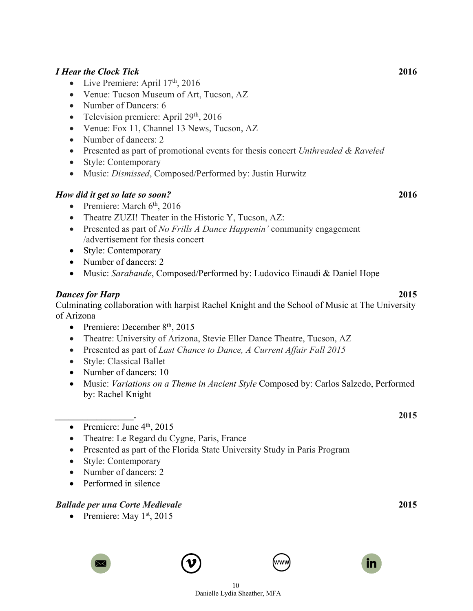#### *I Hear the Clock Tick* **2016**

- Live Premiere: April  $17<sup>th</sup>$ , 2016
- Venue: Tucson Museum of Art, Tucson, AZ
- Number of Dancers: 6
- Television premiere: April  $29<sup>th</sup>$ , 2016
- Venue: Fox 11, Channel 13 News, Tucson, AZ
- Number of dancers: 2
- Presented as part of promotional events for thesis concert *Unthreaded & Raveled*
- Style: Contemporary
- Music: *Dismissed*, Composed/Performed by: Justin Hurwitz

#### *How did it get so late so soon?* **2016**

- Premiere: March  $6<sup>th</sup>$ , 2016
- Theatre ZUZI! Theater in the Historic Y, Tucson, AZ:
- Presented as part of *No Frills A Dance Happenin'* community engagement /advertisement for thesis concert
- Style: Contemporary
- Number of dancers: 2
- Music: *Sarabande*, Composed/Performed by: Ludovico Einaudi & Daniel Hope

#### *Dances for Harp* **2015**

Culminating collaboration with harpist Rachel Knight and the School of Music at The University of Arizona

- Premiere: December  $8<sup>th</sup>$ , 2015
- Theatre: University of Arizona, Stevie Eller Dance Theatre, Tucson, AZ
- Presented as part of *Last Chance to Dance, A Current Affair Fall 2015*
- Style: Classical Ballet
- Number of dancers: 10
- Music: *Variations on a Theme in Ancient Style* Composed by: Carlos Salzedo, Performed by: Rachel Knight
- *\_\_\_\_\_\_\_\_\_\_\_\_\_\_\_\_\_.* **2015** • Premiere: June  $4<sup>th</sup>$ , 2015
	- Theatre: Le Regard du Cygne, Paris, France
	- Presented as part of the Florida State University Study in Paris Program
	- Style: Contemporary
	- Number of dancers: 2
	- Performed in silence

#### *Ballade per una Corte Medievale* **2015**

• Premiere: May  $1<sup>st</sup>$ , 2015









10 Danielle Lydia Sheather, MFA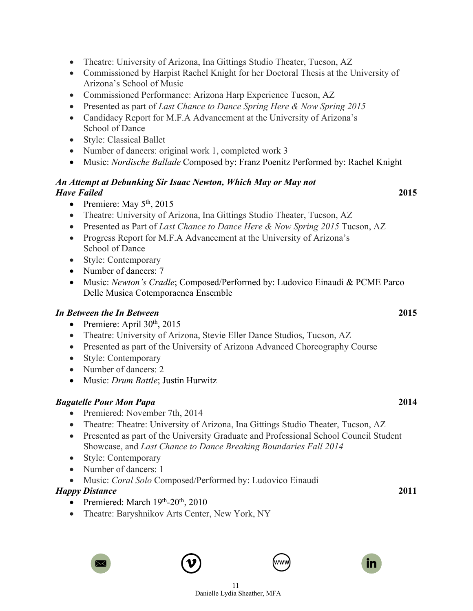- Theatre: University of Arizona, Ina Gittings Studio Theater, Tucson, AZ
- Commissioned by Harpist Rachel Knight for her Doctoral Thesis at the University of Arizona's School of Music
- Commissioned Performance: Arizona Harp Experience Tucson, AZ
- Presented as part of *Last Chance to Dance Spring Here & Now Spring 2015*
- Candidacy Report for M.F.A Advancement at the University of Arizona's School of Dance
- Style: Classical Ballet
- Number of dancers: original work 1, completed work 3
- Music: *Nordische Ballade* Composed by: Franz Poenitz Performed by: Rachel Knight

### *An Attempt at Debunking Sir Isaac Newton, Which May or May not Have Failed* **2015**

- Premiere: May  $5<sup>th</sup>$ , 2015
- Theatre: University of Arizona, Ina Gittings Studio Theater, Tucson, AZ
- Presented as Part of *Last Chance to Dance Here & Now Spring 2015* Tucson, AZ
- Progress Report for M.F.A Advancement at the University of Arizona's School of Dance
- Style: Contemporary
- Number of dancers: 7
- Music: *Newton's Cradle*; Composed/Performed by: Ludovico Einaudi & PCME Parco Delle Musica Cotemporaenea Ensemble

### *In Between the In Between* **2015**

- Premiere: April  $30<sup>th</sup>$ ,  $2015$
- Theatre: University of Arizona, Stevie Eller Dance Studios, Tucson, AZ
- Presented as part of the University of Arizona Advanced Choreography Course
- Style: Contemporary
- Number of dancers: 2
- Music: *Drum Battle*; Justin Hurwitz

### *Bagatelle Pour Mon Papa* **2014**

- Premiered: November 7th, 2014
- Theatre: Theatre: University of Arizona, Ina Gittings Studio Theater, Tucson, AZ
- Presented as part of the University Graduate and Professional School Council Student Showcase, and *Last Chance to Dance Breaking Boundaries Fall 2014*
- Style: Contemporary
- Number of dancers: 1
- Music: *Coral Solo* Composed/Performed by: Ludovico Einaudi

#### *Happy Distance* **2011**

- Premiered: March  $19<sup>th</sup>$ -20<sup>th</sup>, 2010
- Theatre: Baryshnikov Arts Center, New York, NY







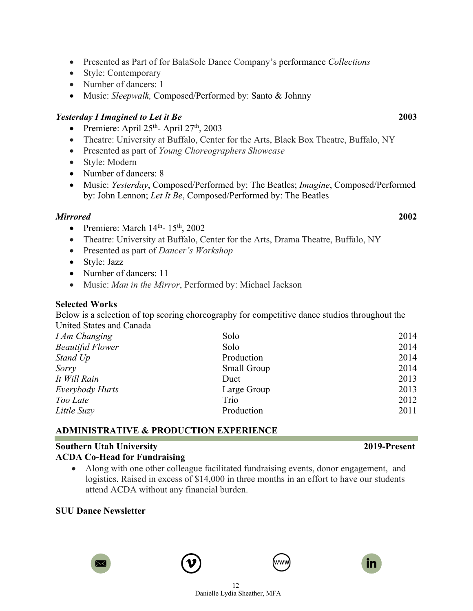- - 12 Danielle Lydia Sheather, MFA
- Presented as Part of for BalaSole Dance Company's performance *Collections*
- Style: Contemporary
- Number of dancers: 1
- Music: *Sleepwalk,* Composed/Performed by: Santo & Johnny

#### *Yesterday I Imagined to Let it Be* **2003**

- Premiere: April  $25<sup>th</sup>$  April  $27<sup>th</sup>$ ,  $2003$
- Theatre: University at Buffalo, Center for the Arts, Black Box Theatre, Buffalo, NY
- Presented as part of *Young Choreographers Showcase*
- Style: Modern
- Number of dancers: 8
- Music: *Yesterday*, Composed/Performed by: The Beatles; *Imagine*, Composed/Performed by: John Lennon; *Let It Be*, Composed/Performed by: The Beatles

#### *Mirrored* **2002**

- Premiere: March  $14<sup>th</sup>$   $15<sup>th</sup>$ ,  $2002$
- Theatre: University at Buffalo, Center for the Arts, Drama Theatre, Buffalo, NY
- Presented as part of *Dancer's Workshop*
- Style: Jazz
- Number of dancers: 11
- Music: *Man in the Mirror*, Performed by: Michael Jackson

#### **Selected Works**

Below is a selection of top scoring choreography for competitive dance studios throughout the United States and Canada

| <b>I Am Changing</b>    | Solo        | 2014 |
|-------------------------|-------------|------|
| <b>Beautiful Flower</b> | Solo        | 2014 |
| Stand Up                | Production  | 2014 |
| Sorry                   | Small Group | 2014 |
| It Will Rain            | Duet        | 2013 |
| <i>Everybody Hurts</i>  | Large Group | 2013 |
| Too Late                | Trio        | 2012 |
| Little Suzy             | Production  | 2011 |

# **ADMINISTRATIVE & PRODUCTION EXPERIENCE**

#### **Southern Utah University 2019-Present ACDA Co-Head for Fundraising**

• Along with one other colleague facilitated fundraising events, donor engagement, and logistics. Raised in excess of \$14,000 in three months in an effort to have our students attend ACDA without any financial burden.

### **SUU Dance Newsletter**







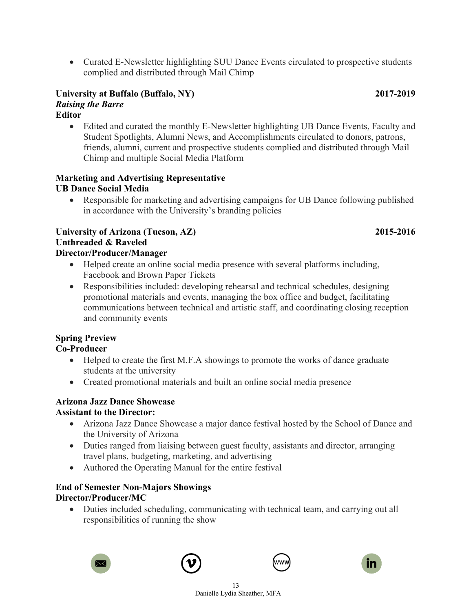• Curated E-Newsletter highlighting SUU Dance Events circulated to prospective students complied and distributed through Mail Chimp

#### **University at Buffalo (Buffalo, NY) 2017-2019** *Raising the Barre* **Editor**

• Edited and curated the monthly E-Newsletter highlighting UB Dance Events, Faculty and Student Spotlights, Alumni News, and Accomplishments circulated to donors, patrons, friends, alumni, current and prospective students complied and distributed through Mail Chimp and multiple Social Media Platform

#### **Marketing and Advertising Representative UB Dance Social Media**

• Responsible for marketing and advertising campaigns for UB Dance following published in accordance with the University's branding policies

#### **University of Arizona (Tucson, AZ) 2015-2016 Unthreaded & Raveled Director/Producer/Manager**

- Helped create an online social media presence with several platforms including, Facebook and Brown Paper Tickets
- Responsibilities included: developing rehearsal and technical schedules, designing promotional materials and events, managing the box office and budget, facilitating communications between technical and artistic staff, and coordinating closing reception and community events

# **Spring Preview**

# **Co-Producer**

- Helped to create the first M.F.A showings to promote the works of dance graduate students at the university
- Created promotional materials and built an online social media presence

# **Arizona Jazz Dance Showcase**

# **Assistant to the Director:**

- Arizona Jazz Dance Showcase a major dance festival hosted by the School of Dance and the University of Arizona
- Duties ranged from liaising between guest faculty, assistants and director, arranging travel plans, budgeting, marketing, and advertising
- Authored the Operating Manual for the entire festival

#### **End of Semester Non-Majors Showings Director/Producer/MC**

• Duties included scheduling, communicating with technical team, and carrying out all responsibilities of running the show







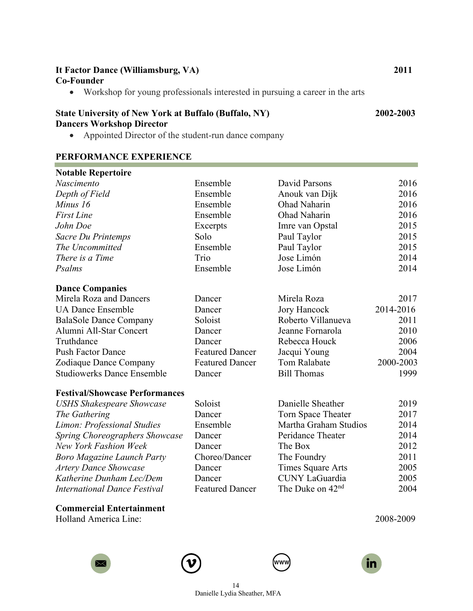| It Factor Dance (Williamsburg, VA)<br><b>Co-Founder</b>                                                                                                 |                        |                              | 2011      |
|---------------------------------------------------------------------------------------------------------------------------------------------------------|------------------------|------------------------------|-----------|
| Workshop for young professionals interested in pursuing a career in the arts<br>$\bullet$                                                               |                        |                              |           |
| <b>State University of New York at Buffalo (Buffalo, NY)</b><br><b>Dancers Workshop Director</b><br>Appointed Director of the student-run dance company |                        |                              | 2002-2003 |
| PERFORMANCE EXPERIENCE                                                                                                                                  |                        |                              |           |
| <b>Notable Repertoire</b>                                                                                                                               |                        |                              |           |
| Nascimento                                                                                                                                              | Ensemble               | David Parsons                | 2016      |
| Depth of Field                                                                                                                                          | Ensemble               | Anouk van Dijk               | 2016      |
| Minus 16                                                                                                                                                | Ensemble               | Ohad Naharin                 | 2016      |
| <b>First Line</b>                                                                                                                                       | Ensemble               | Ohad Naharin                 | 2016      |
| John Doe                                                                                                                                                | Excerpts               | Imre van Opstal              | 2015      |
| Sacre Du Printemps                                                                                                                                      | Solo                   | Paul Taylor                  | 2015      |
| The Uncommitted                                                                                                                                         | Ensemble               | Paul Taylor                  | 2015      |
| There is a Time                                                                                                                                         | Trio                   | Jose Limón                   | 2014      |
| Psalms                                                                                                                                                  | Ensemble               | Jose Limón                   | 2014      |
| <b>Dance Companies</b>                                                                                                                                  |                        |                              |           |
| Mirela Roza and Dancers                                                                                                                                 | Dancer                 | Mirela Roza                  | 2017      |
| <b>UA Dance Ensemble</b>                                                                                                                                | Dancer                 | Jory Hancock                 | 2014-2016 |
| <b>BalaSole Dance Company</b>                                                                                                                           | Soloist                | Roberto Villanueva           | 2011      |
| Alumni All-Star Concert                                                                                                                                 | Dancer                 | Jeanne Fornarola             | 2010      |
| Truthdance                                                                                                                                              | Dancer                 | Rebecca Houck                | 2006      |
| <b>Push Factor Dance</b>                                                                                                                                | <b>Featured Dancer</b> | Jacqui Young                 | 2004      |
| Zodiaque Dance Company                                                                                                                                  | <b>Featured Dancer</b> | Tom Ralabate                 | 2000-2003 |
| <b>Studiowerks Dance Ensemble</b>                                                                                                                       | Dancer                 | <b>Bill Thomas</b>           | 1999      |
| <b>Festival/Showcase Performances</b>                                                                                                                   |                        |                              |           |
| <b>USHS Shakespeare Showcase</b>                                                                                                                        | Soloist                | Danielle Sheather            | 2019      |
| The Gathering                                                                                                                                           | Dancer                 | Torn Space Theater           | 2017      |
| Limon: Professional Studies                                                                                                                             | Ensemble               | Martha Graham Studios        | 2014      |
| Spring Choreographers Showcase                                                                                                                          | Dancer                 | Peridance Theater            | 2014      |
| New York Fashion Week                                                                                                                                   | Dancer                 | The Box                      | 2012      |
| <b>Boro Magazine Launch Party</b>                                                                                                                       | Choreo/Dancer          | The Foundry                  | 2011      |
| <b>Artery Dance Showcase</b>                                                                                                                            | Dancer                 | Times Square Arts            | 2005      |
| Katherine Dunham Lec/Dem                                                                                                                                | Dancer                 | <b>CUNY LaGuardia</b>        | 2005      |
| <b>International Dance Festival</b>                                                                                                                     | <b>Featured Dancer</b> | The Duke on 42 <sup>nd</sup> | 2004      |
|                                                                                                                                                         |                        |                              |           |

**Commercial Entertainment** Holland America Line: 2008-2009







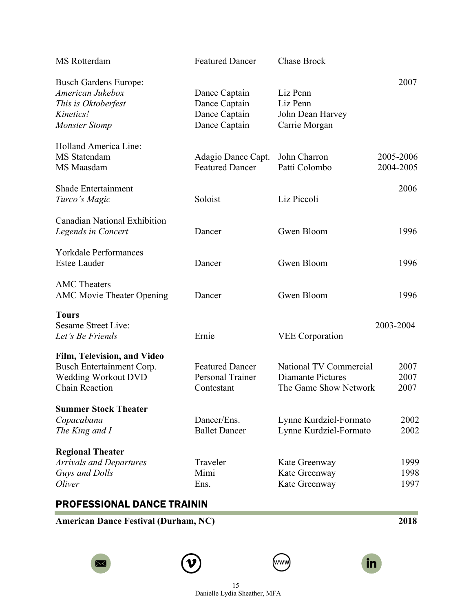| MS Rotterdam                                                                                                    | <b>Featured Dancer</b>                                           | <b>Chase Brock</b>                                                          |                        |
|-----------------------------------------------------------------------------------------------------------------|------------------------------------------------------------------|-----------------------------------------------------------------------------|------------------------|
| <b>Busch Gardens Europe:</b><br>American Jukebox<br>This is Oktoberfest<br>Kinetics!<br><b>Monster Stomp</b>    | Dance Captain<br>Dance Captain<br>Dance Captain<br>Dance Captain | Liz Penn<br>Liz Penn<br>John Dean Harvey<br>Carrie Morgan                   | 2007                   |
| Holland America Line:<br>MS Statendam<br>MS Maasdam                                                             | Adagio Dance Capt.<br><b>Featured Dancer</b>                     | John Charron<br>Patti Colombo                                               | 2005-2006<br>2004-2005 |
| <b>Shade Entertainment</b><br>Turco's Magic                                                                     | Soloist                                                          | Liz Piccoli                                                                 | 2006                   |
| <b>Canadian National Exhibition</b><br>Legends in Concert                                                       | Dancer                                                           | Gwen Bloom                                                                  | 1996                   |
| <b>Yorkdale Performances</b><br><b>Estee Lauder</b>                                                             | Dancer                                                           | Gwen Bloom                                                                  | 1996                   |
| <b>AMC</b> Theaters<br><b>AMC Movie Theater Opening</b>                                                         | Dancer                                                           | Gwen Bloom                                                                  | 1996                   |
| <b>Tours</b><br><b>Sesame Street Live:</b><br>Let's Be Friends                                                  | Ernie                                                            | <b>VEE</b> Corporation                                                      | 2003-2004              |
| Film, Television, and Video<br>Busch Entertainment Corp.<br><b>Wedding Workout DVD</b><br><b>Chain Reaction</b> | <b>Featured Dancer</b><br>Personal Trainer<br>Contestant         | National TV Commercial<br><b>Diamante Pictures</b><br>The Game Show Network | 2007<br>2007<br>2007   |
| <b>Summer Stock Theater</b><br>Copacabana<br>The King and I                                                     | Dancer/Ens.<br><b>Ballet Dancer</b>                              | Lynne Kurdziel-Formato<br>Lynne Kurdziel-Formato                            | 2002<br>2002           |
| <b>Regional Theater</b><br><b>Arrivals and Departures</b><br>Guys and Dolls<br>Oliver                           | Traveler<br>Mimi<br>Ens.                                         | Kate Greenway<br>Kate Greenway<br>Kate Greenway                             | 1999<br>1998<br>1997   |

# PROFESSIONAL DANCE TRAININ

**American Dance Festival (Durham, NC) 2018**







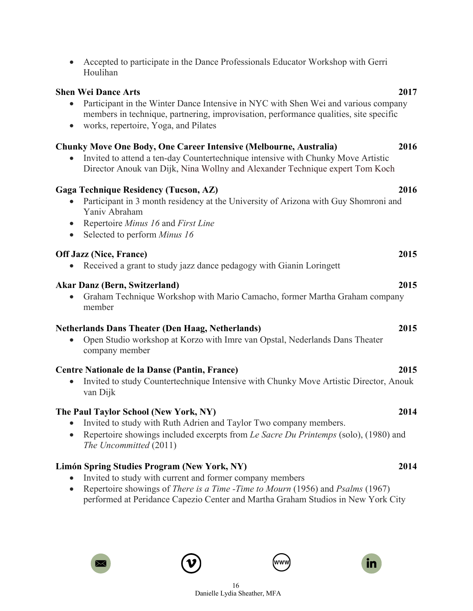| <b>Shen Wei Dance Arts</b>                                                                                                                                                                                                                            | 2017 |
|-------------------------------------------------------------------------------------------------------------------------------------------------------------------------------------------------------------------------------------------------------|------|
| Participant in the Winter Dance Intensive in NYC with Shen Wei and various company<br>members in technique, partnering, improvisation, performance qualities, site specific<br>works, repertoire, Yoga, and Pilates<br>$\bullet$                      |      |
| <b>Chunky Move One Body, One Career Intensive (Melbourne, Australia)</b><br>Invited to attend a ten-day Countertechnique intensive with Chunky Move Artistic<br>Director Anouk van Dijk, Nina Wollny and Alexander Technique expert Tom Koch          | 2016 |
| <b>Gaga Technique Residency (Tucson, AZ)</b><br>Participant in 3 month residency at the University of Arizona with Guy Shomroni and<br>Yaniv Abraham<br>Repertoire Minus 16 and First Line<br>$\bullet$<br>Selected to perform Minus 16<br>$\bullet$  | 2016 |
| <b>Off Jazz (Nice, France)</b><br>Received a grant to study jazz dance pedagogy with Gianin Loringett                                                                                                                                                 | 2015 |
| <b>Akar Danz (Bern, Switzerland)</b><br>Graham Technique Workshop with Mario Camacho, former Martha Graham company<br>$\bullet$<br>member                                                                                                             | 2015 |
| <b>Netherlands Dans Theater (Den Haag, Netherlands)</b><br>Open Studio workshop at Korzo with Imre van Opstal, Nederlands Dans Theater<br>company member                                                                                              | 2015 |
| Centre Nationale de la Danse (Pantin, France)<br>Invited to study Countertechnique Intensive with Chunky Move Artistic Director, Anouk<br>van Dijk                                                                                                    | 2015 |
| The Paul Taylor School (New York, NY)<br>Invited to study with Ruth Adrien and Taylor Two company members.<br>$\bullet$<br>Repertoire showings included excerpts from Le Sacre Du Printemps (solo), (1980) and<br>$\bullet$<br>The Uncommitted (2011) | 2014 |
| Limón Spring Studies Program (New York, NY)<br>Invited to study with current and former company members<br>$\bullet$                                                                                                                                  | 2014 |

• Accepted to participate in the Dance Professionals Educator Workshop with Gerri

• Repertoire showings of *There is a Time -Time to Mourn* (1956) and *Psalms* (1967) performed at Peridance Capezio Center and Martha Graham Studios in New York City



Houlihan





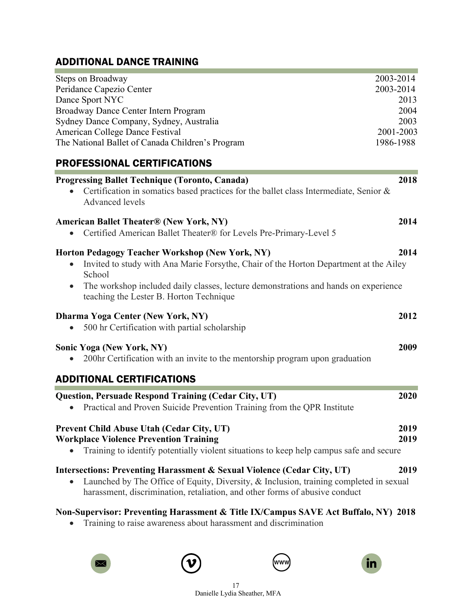# ADDITIONAL DANCE TRAINING

| Steps on Broadway                                                                                                                                                 | 2003-2014 |
|-------------------------------------------------------------------------------------------------------------------------------------------------------------------|-----------|
| Peridance Capezio Center                                                                                                                                          | 2003-2014 |
| Dance Sport NYC                                                                                                                                                   | 2013      |
| Broadway Dance Center Intern Program                                                                                                                              | 2004      |
| Sydney Dance Company, Sydney, Australia                                                                                                                           | 2003      |
| American College Dance Festival                                                                                                                                   | 2001-2003 |
| The National Ballet of Canada Children's Program                                                                                                                  | 1986-1988 |
| PROFESSIONAL CERTIFICATIONS                                                                                                                                       |           |
| <b>Progressing Ballet Technique (Toronto, Canada)</b>                                                                                                             | 2018      |
| Certification in somatics based practices for the ballet class Intermediate, Senior &<br>Advanced levels                                                          |           |
| <b>American Ballet Theater® (New York, NY)</b>                                                                                                                    | 2014      |
| Certified American Ballet Theater® for Levels Pre-Primary-Level 5                                                                                                 |           |
| Horton Pedagogy Teacher Workshop (New York, NY)                                                                                                                   | 2014      |
| Invited to study with Ana Marie Forsythe, Chair of the Horton Department at the Ailey<br>$\bullet$<br>School                                                      |           |
| The workshop included daily classes, lecture demonstrations and hands on experience<br>$\bullet$<br>teaching the Lester B. Horton Technique                       |           |
|                                                                                                                                                                   |           |
| Dharma Yoga Center (New York, NY)<br>500 hr Certification with partial scholarship                                                                                | 2012      |
| <b>Sonic Yoga (New York, NY)</b>                                                                                                                                  | 2009      |
| 200hr Certification with an invite to the mentorship program upon graduation                                                                                      |           |
| <b>ADDITIONAL CERTIFICATIONS</b>                                                                                                                                  |           |
| <b>Question, Persuade Respond Training (Cedar City, UT)</b>                                                                                                       | 2020      |
| Practical and Proven Suicide Prevention Training from the QPR Institute                                                                                           |           |
| Prevent Child Abuse Utah (Cedar City, UT)                                                                                                                         | 2019      |
| <b>Workplace Violence Prevention Training</b><br>Training to identify potentially violent situations to keep help campus safe and secure                          | 2019      |
| Intersections: Preventing Harassment & Sexual Violence (Cedar City, UT)<br>Launched by The Office of Equity, Diversity, & Inclusion, training completed in sexual | 2019      |
| harassment, discrimination, retaliation, and other forms of abusive conduct                                                                                       |           |
| Non-Supervisor: Preventing Harassment & Title IX/Campus SAVE Act Buffalo, NY) 2018                                                                                |           |

• Training to raise awareness about harassment and discrimination







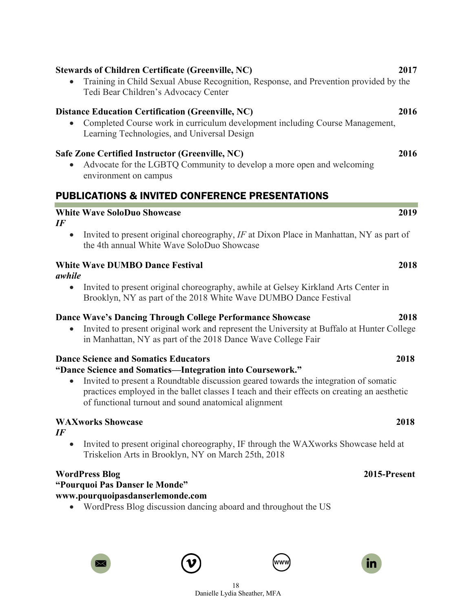• Advocate for the LGBTQ Community to develop a more open and welcoming environment on campus

#### PUBLICATIONS & INVITED CONFERENCE PRESENTATIONS

#### **White Wave SoloDuo Showcase 2019**

*IF*

• Invited to present original choreography, *IF* at Dixon Place in Manhattan, NY as part of the 4th annual White Wave SoloDuo Showcase

#### **White Wave DUMBO Dance Festival 2018**

- *awhile*
	- Invited to present original choreography, awhile at Gelsey Kirkland Arts Center in Brooklyn, NY as part of the 2018 White Wave DUMBO Dance Festival

#### **Dance Wave's Dancing Through College Performance Showcase 2018**

• Invited to present original work and represent the University at Buffalo at Hunter College in Manhattan, NY as part of the 2018 Dance Wave College Fair

#### **Dance Science and Somatics Educators 2018**

### **"Dance Science and Somatics—Integration into Coursework."**

• Invited to present a Roundtable discussion geared towards the integration of somatic practices employed in the ballet classes I teach and their effects on creating an aesthetic of functional turnout and sound anatomical alignment

# **WAXworks Showcase 2018**

*IF*

• Invited to present original choreography, IF through the WAXworks Showcase held at Triskelion Arts in Brooklyn, NY on March 25th, 2018

#### **WordPress Blog 2015-Present**

**"Pourquoi Pas Danser le Monde"** 

- **www.pourquoipasdanserlemonde.com**
	- WordPress Blog discussion dancing aboard and throughout the US

# **Stewards of Children Certificate (Greenville, NC) 2017**

• Training in Child Sexual Abuse Recognition, Response, and Prevention provided by the Tedi Bear Children's Advocacy Center

### **Distance Education Certification (Greenville, NC) 2016**

• Completed Course work in curriculum development including Course Management, Learning Technologies, and Universal Design

### **Safe Zone Certified Instructor (Greenville, NC) 2016**



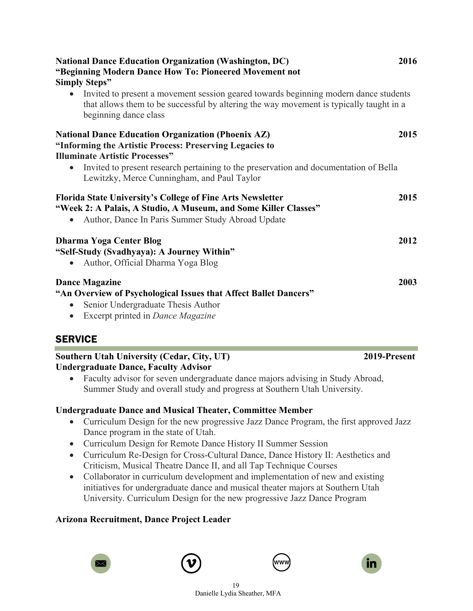| <b>National Dance Education Organization (Washington, DC)</b><br>"Beginning Modern Dance How To: Pioneered Movement not<br><b>Simply Steps"</b>                                                                       | 2016 |
|-----------------------------------------------------------------------------------------------------------------------------------------------------------------------------------------------------------------------|------|
| Invited to present a movement session geared towards beginning modern dance students<br>$\bullet$<br>that allows them to be successful by altering the way movement is typically taught in a<br>beginning dance class |      |
| <b>National Dance Education Organization (Phoenix AZ)</b><br>"Informing the Artistic Process: Preserving Legacies to<br><b>Illuminate Artistic Processes"</b>                                                         | 2015 |
| Invited to present research pertaining to the preservation and documentation of Bella<br>$\bullet$<br>Lewitzky, Merce Cunningham, and Paul Taylor                                                                     |      |
| <b>Florida State University's College of Fine Arts Newsletter</b><br>"Week 2: A Palais, A Studio, A Museum, and Some Killer Classes"<br>Author, Dance In Paris Summer Study Abroad Update                             | 2015 |
| <b>Dharma Yoga Center Blog</b><br>"Self-Study (Svadhyaya): A Journey Within"<br>Author, Official Dharma Yoga Blog<br>$\bullet$                                                                                        | 2012 |
| <b>Dance Magazine</b><br>"An Overview of Psychological Issues that Affect Ballet Dancers"<br>Senior Undergraduate Thesis Author<br>$\bullet$<br>Excerpt printed in Dance Magazine<br>$\bullet$                        | 2003 |

# **SERVICE**

#### **Southern Utah University (Cedar, City, UT) 2019-Present Undergraduate Dance, Faculty Advisor**

• Faculty advisor for seven undergraduate dance majors advising in Study Abroad, Summer Study and overall study and progress at Southern Utah University.

### **Undergraduate Dance and Musical Theater, Committee Member**

- Curriculum Design for the new progressive Jazz Dance Program, the first approved Jazz Dance program in the state of Utah.
- Curriculum Design for Remote Dance History II Summer Session
- Curriculum Re-Design for Cross-Cultural Dance, Dance History II: Aesthetics and Criticism, Musical Theatre Dance II, and all Tap Technique Courses
- Collaborator in curriculum development and implementation of new and existing initiatives for undergraduate dance and musical theater majors at Southern Utah University. Curriculum Design for the new progressive Jazz Dance Program

# **Arizona Recruitment, Dance Project Leader**







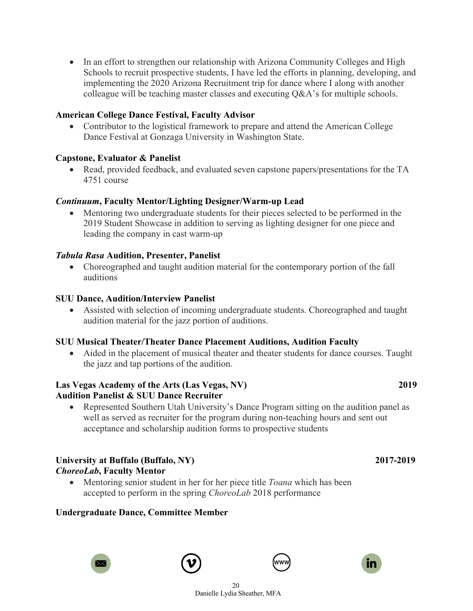• In an effort to strengthen our relationship with Arizona Community Colleges and High Schools to recruit prospective students, I have led the efforts in planning, developing, and implementing the 2020 Arizona Recruitment trip for dance where I along with another colleague will be teaching master classes and executing Q&A's for multiple schools.

#### **American College Dance Festival, Faculty Advisor**

• Contributor to the logistical framework to prepare and attend the American College Dance Festival at Gonzaga University in Washington State.

#### **Capstone, Evaluator & Panelist**

• Read, provided feedback, and evaluated seven capstone papers/presentations for the TA 4751 course

#### *Continuum***, Faculty Mentor/Lighting Designer/Warm-up Lead**

• Mentoring two undergraduate students for their pieces selected to be performed in the 2019 Student Showcase in addition to serving as lighting designer for one piece and leading the company in cast warm-up

#### *Tabula Rasa* **Audition, Presenter, Panelist**

• Choreographed and taught audition material for the contemporary portion of the fall auditions

#### **SUU Dance, Audition/Interview Panelist**

• Assisted with selection of incoming undergraduate students. Choreographed and taught audition material for the jazz portion of auditions.

#### **SUU Musical Theater/Theater Dance Placement Auditions, Audition Faculty**

• Aided in the placement of musical theater and theater students for dance courses. Taught the jazz and tap portions of the audition.

#### **Las Vegas Academy of the Arts (Las Vegas, NV) 2019 Audition Panelist & SUU Dance Recruiter**

• Represented Southern Utah University's Dance Program sitting on the audition panel as well as served as recruiter for the program during non-teaching hours and sent out acceptance and scholarship audition forms to prospective students

#### **University at Buffalo (Buffalo, NY) 2017-2019** *ChoreoLab***, Faculty Mentor**

• Mentoring senior student in her for her piece title *Toana* which has been accepted to perform in the spring *ChoreoLab* 2018 performance

#### **Undergraduate Dance, Committee Member**







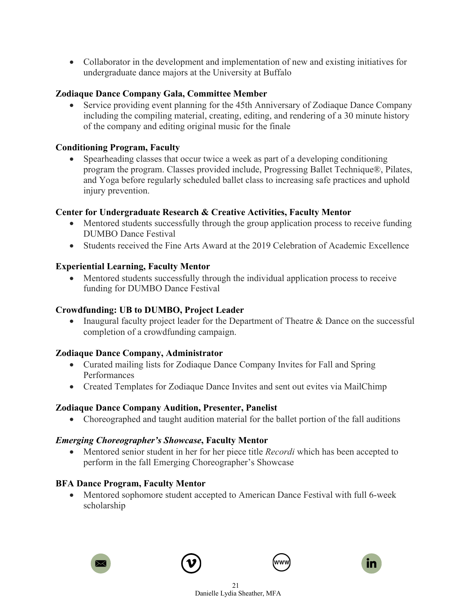• Collaborator in the development and implementation of new and existing initiatives for undergraduate dance majors at the University at Buffalo

### **Zodiaque Dance Company Gala, Committee Member**

• Service providing event planning for the 45th Anniversary of Zodiaque Dance Company including the compiling material, creating, editing, and rendering of a 30 minute history of the company and editing original music for the finale

#### **Conditioning Program, Faculty**

• Spearheading classes that occur twice a week as part of a developing conditioning program the program. Classes provided include, Progressing Ballet Technique®, Pilates, and Yoga before regularly scheduled ballet class to increasing safe practices and uphold injury prevention.

#### **Center for Undergraduate Research & Creative Activities, Faculty Mentor**

- Mentored students successfully through the group application process to receive funding DUMBO Dance Festival
- Students received the Fine Arts Award at the 2019 Celebration of Academic Excellence

#### **Experiential Learning, Faculty Mentor**

• Mentored students successfully through the individual application process to receive funding for DUMBO Dance Festival

#### **Crowdfunding: UB to DUMBO, Project Leader**

• Inaugural faculty project leader for the Department of Theatre & Dance on the successful completion of a crowdfunding campaign.

#### **Zodiaque Dance Company, Administrator**

- Curated mailing lists for Zodiaque Dance Company Invites for Fall and Spring Performances
- Created Templates for Zodiaque Dance Invites and sent out evites via MailChimp

#### **Zodiaque Dance Company Audition, Presenter, Panelist**

• Choreographed and taught audition material for the ballet portion of the fall auditions

### *Emerging Choreographer's Showcase***, Faculty Mentor**

• Mentored senior student in her for her piece title *Recordi* which has been accepted to perform in the fall Emerging Choreographer's Showcase

### **BFA Dance Program, Faculty Mentor**

• Mentored sophomore student accepted to American Dance Festival with full 6-week scholarship







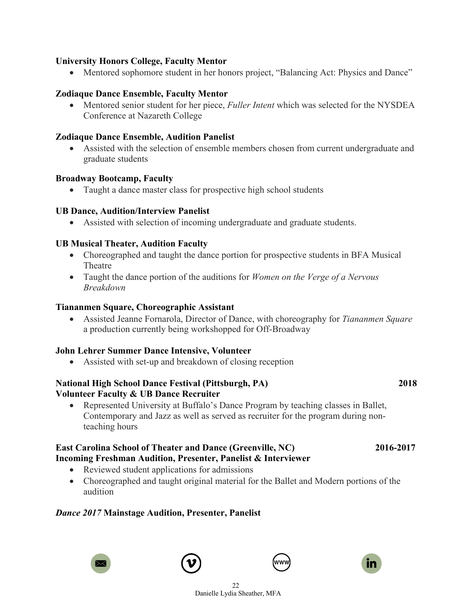#### **University Honors College, Faculty Mentor**

• Mentored sophomore student in her honors project, "Balancing Act: Physics and Dance"

#### **Zodiaque Dance Ensemble, Faculty Mentor**

• Mentored senior student for her piece, *Fuller Intent* which was selected for the NYSDEA Conference at Nazareth College

#### **Zodiaque Dance Ensemble, Audition Panelist**

• Assisted with the selection of ensemble members chosen from current undergraduate and graduate students

#### **Broadway Bootcamp, Faculty**

• Taught a dance master class for prospective high school students

#### **UB Dance, Audition/Interview Panelist**

• Assisted with selection of incoming undergraduate and graduate students.

#### **UB Musical Theater, Audition Faculty**

- Choreographed and taught the dance portion for prospective students in BFA Musical Theatre
- Taught the dance portion of the auditions for *Women on the Verge of a Nervous Breakdown*

#### **Tiananmen Square, Choreographic Assistant**

• Assisted Jeanne Fornarola, Director of Dance, with choreography for *Tiananmen Square* a production currently being workshopped for Off-Broadway

#### **John Lehrer Summer Dance Intensive, Volunteer**

• Assisted with set-up and breakdown of closing reception

#### **National High School Dance Festival (Pittsburgh, PA) 2018 Volunteer Faculty & UB Dance Recruiter**

• Represented University at Buffalo's Dance Program by teaching classes in Ballet, Contemporary and Jazz as well as served as recruiter for the program during nonteaching hours

#### **East Carolina School of Theater and Dance (Greenville, NC) 2016-2017 Incoming Freshman Audition, Presenter, Panelist & Interviewer**

- Reviewed student applications for admissions
- Choreographed and taught original material for the Ballet and Modern portions of the audition

#### *Dance 2017* **Mainstage Audition, Presenter, Panelist**







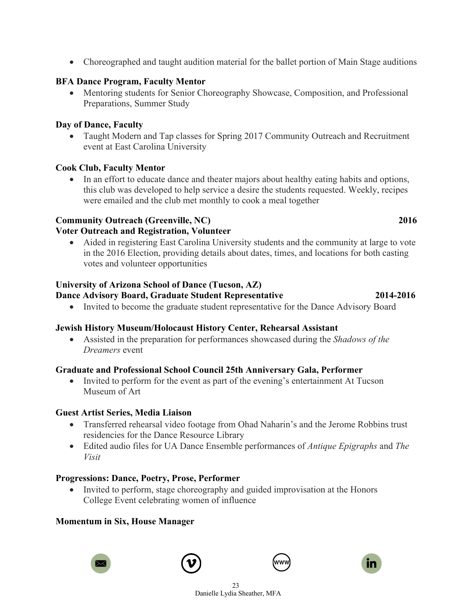$23$ Danielle Lydia Sheather, MFA

• Choreographed and taught audition material for the ballet portion of Main Stage auditions

#### **BFA Dance Program, Faculty Mentor**

• Mentoring students for Senior Choreography Showcase, Composition, and Professional Preparations, Summer Study

#### **Day of Dance, Faculty**

• Taught Modern and Tap classes for Spring 2017 Community Outreach and Recruitment event at East Carolina University

#### **Cook Club, Faculty Mentor**

• In an effort to educate dance and theater majors about healthy eating habits and options, this club was developed to help service a desire the students requested. Weekly, recipes were emailed and the club met monthly to cook a meal together

### **Community Outreach (Greenville, NC) 2016**

### **Voter Outreach and Registration, Volunteer**

• Aided in registering East Carolina University students and the community at large to vote in the 2016 Election, providing details about dates, times, and locations for both casting votes and volunteer opportunities

### **University of Arizona School of Dance (Tucson, AZ)**

### **Dance Advisory Board, Graduate Student Representative 2014-2016**

• Invited to become the graduate student representative for the Dance Advisory Board

### **Jewish History Museum/Holocaust History Center, Rehearsal Assistant**

• Assisted in the preparation for performances showcased during the *Shadows of the Dreamers* event

#### **Graduate and Professional School Council 25th Anniversary Gala, Performer**

• Invited to perform for the event as part of the evening's entertainment At Tucson Museum of Art

#### **Guest Artist Series, Media Liaison**

- Transferred rehearsal video footage from Ohad Naharin's and the Jerome Robbins trust residencies for the Dance Resource Library
- Edited audio files for UA Dance Ensemble performances of *Antique Epigraphs* and *The Visit*

#### **Progressions: Dance, Poetry, Prose, Performer**

• Invited to perform, stage choreography and guided improvisation at the Honors College Event celebrating women of influence

#### **Momentum in Six, House Manager**







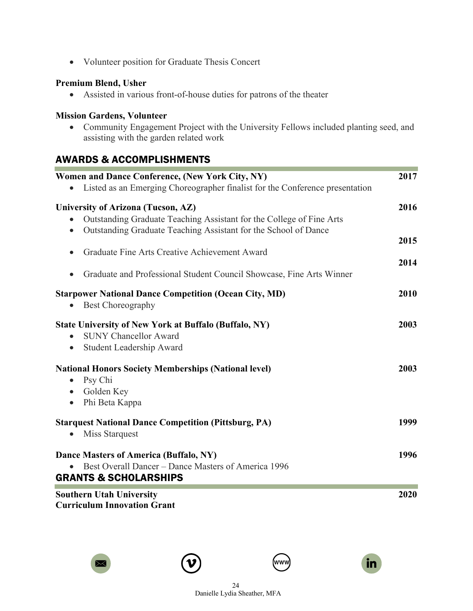• Volunteer position for Graduate Thesis Concert

#### **Premium Blend, Usher**

• Assisted in various front-of-house duties for patrons of the theater

#### **Mission Gardens, Volunteer**

• Community Engagement Project with the University Fellows included planting seed, and assisting with the garden related work

# AWARDS & ACCOMPLISHMENTS

| Women and Dance Conference, (New York City, NY)<br>Listed as an Emerging Choreographer finalist for the Conference presentation                                               | 2017         |
|-------------------------------------------------------------------------------------------------------------------------------------------------------------------------------|--------------|
| University of Arizona (Tucson, AZ)<br>Outstanding Graduate Teaching Assistant for the College of Fine Arts<br>Outstanding Graduate Teaching Assistant for the School of Dance | 2016         |
| Graduate Fine Arts Creative Achievement Award<br>Graduate and Professional Student Council Showcase, Fine Arts Winner                                                         | 2015<br>2014 |
| <b>Starpower National Dance Competition (Ocean City, MD)</b><br><b>Best Choreography</b><br>$\bullet$                                                                         | 2010         |
| <b>State University of New York at Buffalo (Buffalo, NY)</b><br><b>SUNY Chancellor Award</b><br>$\bullet$<br>Student Leadership Award<br>$\bullet$                            | 2003         |
| <b>National Honors Society Memberships (National level)</b><br>Psy Chi<br>$\bullet$<br>Golden Key<br>$\bullet$<br>Phi Beta Kappa<br>$\bullet$                                 | 2003         |
| <b>Starquest National Dance Competition (Pittsburg, PA)</b><br><b>Miss Starquest</b><br>$\bullet$                                                                             | 1999         |
| Dance Masters of America (Buffalo, NY)<br>Best Overall Dancer – Dance Masters of America 1996<br><b>GRANTS &amp; SCHOLARSHIPS</b>                                             | 1996         |
| <b>Southern Utah University</b><br><b>Curriculum Innovation Grant</b>                                                                                                         | 2020         |







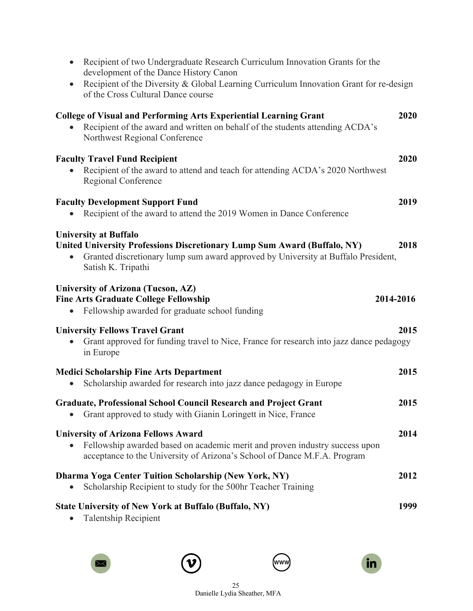| Recipient of two Undergraduate Research Curriculum Innovation Grants for the<br>$\bullet$<br>development of the Dance History Canon<br>Recipient of the Diversity & Global Learning Curriculum Innovation Grant for re-design<br>$\bullet$<br>of the Cross Cultural Dance course |           |
|----------------------------------------------------------------------------------------------------------------------------------------------------------------------------------------------------------------------------------------------------------------------------------|-----------|
| <b>College of Visual and Performing Arts Experiential Learning Grant</b><br>Recipient of the award and written on behalf of the students attending ACDA's<br>Northwest Regional Conference                                                                                       | 2020      |
| <b>Faculty Travel Fund Recipient</b><br>Recipient of the award to attend and teach for attending ACDA's 2020 Northwest<br>Regional Conference                                                                                                                                    | 2020      |
| <b>Faculty Development Support Fund</b><br>Recipient of the award to attend the 2019 Women in Dance Conference                                                                                                                                                                   | 2019      |
| <b>University at Buffalo</b><br>United University Professions Discretionary Lump Sum Award (Buffalo, NY)<br>Granted discretionary lump sum award approved by University at Buffalo President,<br>Satish K. Tripathi                                                              | 2018      |
|                                                                                                                                                                                                                                                                                  |           |
| University of Arizona (Tucson, AZ)<br><b>Fine Arts Graduate College Fellowship</b><br>Fellowship awarded for graduate school funding<br>$\bullet$                                                                                                                                | 2014-2016 |
| <b>University Fellows Travel Grant</b><br>Grant approved for funding travel to Nice, France for research into jazz dance pedagogy<br>in Europe                                                                                                                                   | 2015      |
| <b>Medici Scholarship Fine Arts Department</b><br>Scholarship awarded for research into jazz dance pedagogy in Europe                                                                                                                                                            | 2015      |
| <b>Graduate, Professional School Council Research and Project Grant</b><br>Grant approved to study with Gianin Loringett in Nice, France                                                                                                                                         | 2015      |
| <b>University of Arizona Fellows Award</b><br>Fellowship awarded based on academic merit and proven industry success upon<br>acceptance to the University of Arizona's School of Dance M.F.A. Program                                                                            | 2014      |
| <b>Dharma Yoga Center Tuition Scholarship (New York, NY)</b><br>Scholarship Recipient to study for the 500hr Teacher Training                                                                                                                                                    | 2012      |